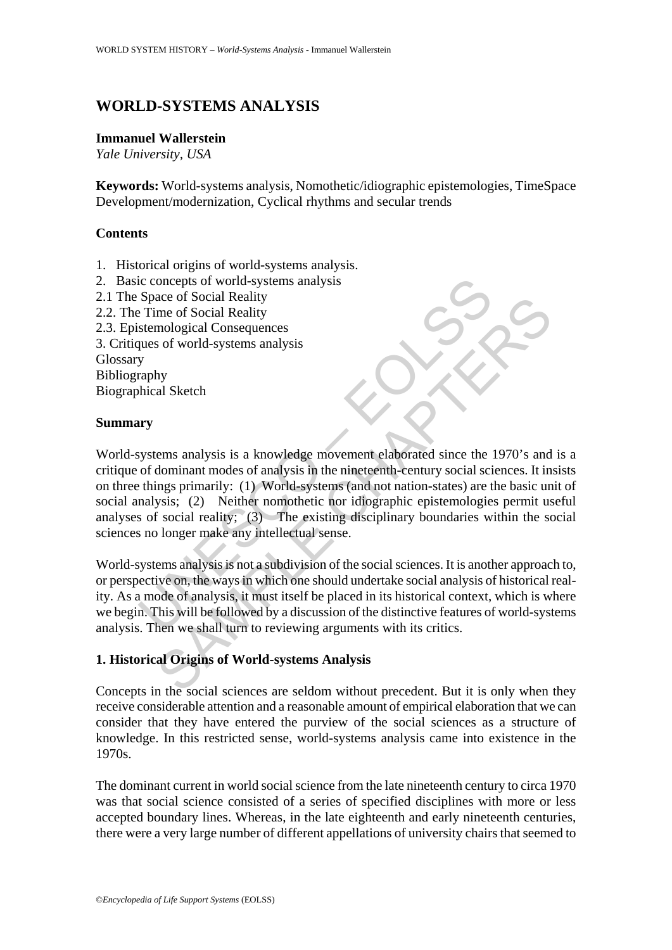# **WORLD-SYSTEMS ANALYSIS**

#### **Immanuel Wallerstein**

*Yale University, USA* 

**Keywords:** World-systems analysis, Nomothetic/idiographic epistemologies, TimeSpace Development/modernization, Cyclical rhythms and secular trends

### **Contents**

- 1. Historical origins of world-systems analysis.
- 2. Basic concepts of world-systems analysis
- 2.1 The Space of Social Reality
- 2.2. The Time of Social Reality
- 2.3. Epistemological Consequences
- 3. Critiques of world-systems analysis

Glossary

Bibliography

Biographical Sketch

### **Summary**

UNESCO – EOLSS ace of Social Reality<br>
mological Consequences<br>
so f world-systems analysis<br>
hy<br>
hy<br>
al Sketch<br>
hy<br>
al Sketch<br>
hy<br>
al Sketch<br>
hy<br>
al Sketch<br>
hy<br>
al Sketch<br>
hy<br>
syssis; (2) Neither nomohelic in or ideographic epistemologies World-systems analysis is a knowledge movement elaborated since the 1970's and is a critique of dominant modes of analysis in the nineteenth-century social sciences. It insists on three things primarily: (1) World-systems (and not nation-states) are the basic unit of social analysis; (2) Neither nomothetic nor idiographic epistemologies permit useful analyses of social reality; (3) The existing disciplinary boundaries within the social sciences no longer make any intellectual sense.

World-systems analysis is not a subdivision of the social sciences. It is another approach to, or perspective on, the ways in which one should undertake social analysis of historical reality. As a mode of analysis, it must itself be placed in its historical context, which is where we begin. This will be followed by a discussion of the distinctive features of world-systems analysis. Then we shall turn to reviewing arguments with its critics.

## **1. Historical Origins of World-systems Analysis**

Concepts in the social sciences are seldom without precedent. But it is only when they receive considerable attention and a reasonable amount of empirical elaboration that we can consider that they have entered the purview of the social sciences as a structure of knowledge. In this restricted sense, world-systems analysis came into existence in the 1970s.

The dominant current in world social science from the late nineteenth century to circa 1970 was that social science consisted of a series of specified disciplines with more or less accepted boundary lines. Whereas, in the late eighteenth and early nineteenth centuries, there were a very large number of different appellations of university chairs that seemed to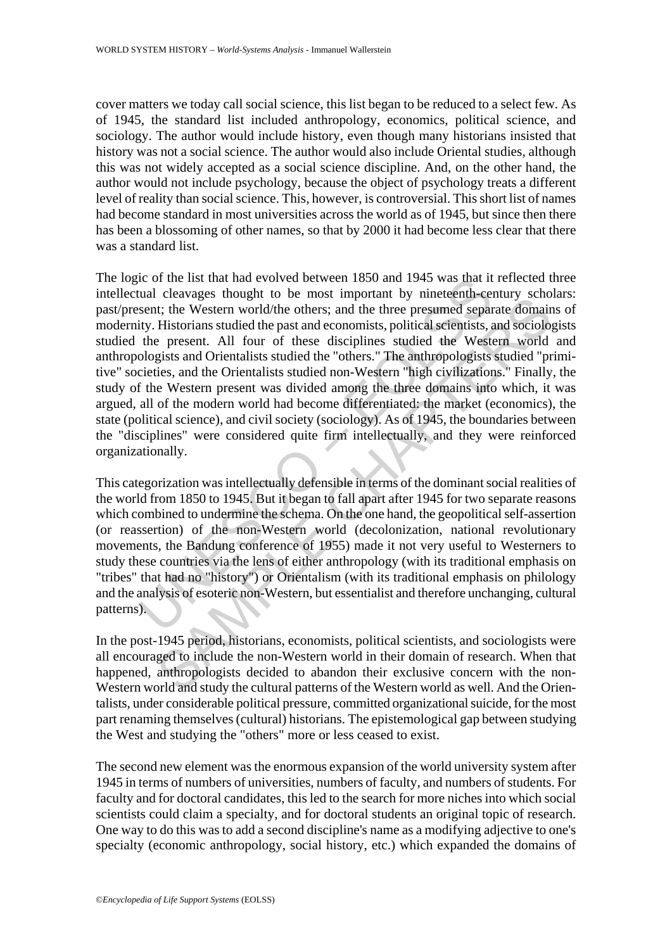cover matters we today call social science, this list began to be reduced to a select few. As of 1945, the standard list included anthropology, economics, political science, and sociology. The author would include history, even though many historians insisted that history was not a social science. The author would also include Oriental studies, although this was not widely accepted as a social science discipline. And, on the other hand, the author would not include psychology, because the object of psychology treats a different level of reality than social science. This, however, is controversial. This short list of names had become standard in most universities across the world as of 1945, but since then there has been a blossoming of other names, so that by 2000 it had become less clear that there was a standard list.

icula cleavages thought to be most impediated by ninetary and the measurement assument constant in the measurement of the most important by ninetenth-centity. Historians studied the past and economists, political seientist becauses moust in the method of method (decolonization) with the Vestern world and such the Mestern world the others; and the three presumed separate domain Historians studied the past and economists, political scientists The logic of the list that had evolved between 1850 and 1945 was that it reflected three intellectual cleavages thought to be most important by nineteenth-century scholars: past/present; the Western world/the others; and the three presumed separate domains of modernity. Historians studied the past and economists, political scientists, and sociologists studied the present. All four of these disciplines studied the Western world and anthropologists and Orientalists studied the "others." The anthropologists studied "primitive" societies, and the Orientalists studied non-Western "high civilizations." Finally, the study of the Western present was divided among the three domains into which, it was argued, all of the modern world had become differentiated: the market (economics), the state (political science), and civil society (sociology). As of 1945, the boundaries between the "disciplines" were considered quite firm intellectually, and they were reinforced organizationally.

This categorization was intellectually defensible in terms of the dominant social realities of the world from 1850 to 1945. But it began to fall apart after 1945 for two separate reasons which combined to undermine the schema. On the one hand, the geopolitical self-assertion (or reassertion) of the non-Western world (decolonization, national revolutionary movements, the Bandung conference of 1955) made it not very useful to Westerners to study these countries via the lens of either anthropology (with its traditional emphasis on "tribes" that had no "history") or Orientalism (with its traditional emphasis on philology and the analysis of esoteric non-Western, but essentialist and therefore unchanging, cultural patterns).

In the post-1945 period, historians, economists, political scientists, and sociologists were all encouraged to include the non-Western world in their domain of research. When that happened, anthropologists decided to abandon their exclusive concern with the non-Western world and study the cultural patterns of the Western world as well. And the Orientalists, under considerable political pressure, committed organizational suicide, for the most part renaming themselves (cultural) historians. The epistemological gap between studying the West and studying the "others" more or less ceased to exist.

The second new element was the enormous expansion of the world university system after 1945 in terms of numbers of universities, numbers of faculty, and numbers of students. For faculty and for doctoral candidates, this led to the search for more niches into which social scientists could claim a specialty, and for doctoral students an original topic of research. One way to do this was to add a second discipline's name as a modifying adjective to one's specialty (economic anthropology, social history, etc.) which expanded the domains of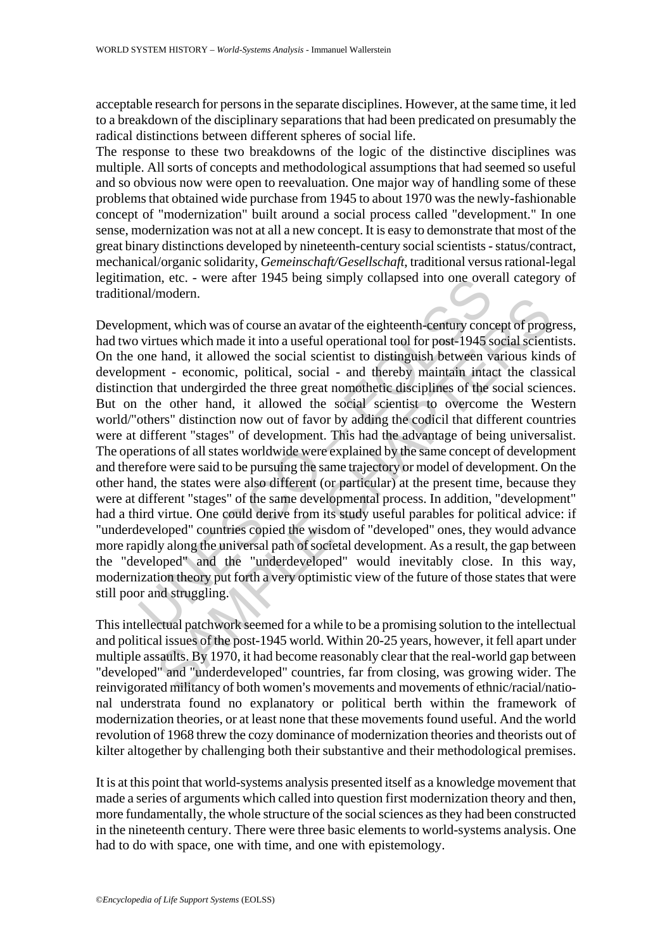acceptable research for persons in the separate disciplines. However, at the same time, it led to a breakdown of the disciplinary separations that had been predicated on presumably the radical distinctions between different spheres of social life.

The response to these two breakdowns of the logic of the distinctive disciplines was multiple. All sorts of concepts and methodological assumptions that had seemed so useful and so obvious now were open to reevaluation. One major way of handling some of these problems that obtained wide purchase from 1945 to about 1970 was the newly-fashionable concept of "modernization" built around a social process called "development." In one sense, modernization was not at all a new concept. It is easy to demonstrate that most of the great binary distinctions developed by nineteenth-century social scientists - status/contract, mechanical/organic solidarity, *Gemeinschaft/Gesellschaft*, traditional versus rational-legal legitimation, etc. - were after 1945 being simply collapsed into one overall category of traditional/modern.

tion, etc. - were after 1945 being simply collapsed into one over<br>anal/modern.<br>ment, which was of course an avatar of the eighteenth-century conc<br>virtues which made it into a useful operational tool for post-1945 s<br>one han modern.<br>
the was of course an avatar of the eighteenth-century concept of progues.<br>
the hand, it allowed the social scientist to distinguish between various kind<br>
thand, it allowed the social scientist to distinguish betwe Development, which was of course an avatar of the eighteenth-century concept of progress, had two virtues which made it into a useful operational tool for post-1945 social scientists. On the one hand, it allowed the social scientist to distinguish between various kinds of development - economic, political, social - and thereby maintain intact the classical distinction that undergirded the three great nomothetic disciplines of the social sciences. But on the other hand, it allowed the social scientist to overcome the Western world/"others" distinction now out of favor by adding the codicil that different countries were at different "stages" of development. This had the advantage of being universalist. The operations of all states worldwide were explained by the same concept of development and therefore were said to be pursuing the same trajectory or model of development. On the other hand, the states were also different (or particular) at the present time, because they were at different "stages" of the same developmental process. In addition, "development" had a third virtue. One could derive from its study useful parables for political advice: if "underdeveloped" countries copied the wisdom of "developed" ones, they would advance more rapidly along the universal path of societal development. As a result, the gap between the "developed" and the "underdeveloped" would inevitably close. In this way, modernization theory put forth a very optimistic view of the future of those states that were still poor and struggling.

This intellectual patchwork seemed for a while to be a promising solution to the intellectual and political issues of the post-1945 world. Within 20-25 years, however, it fell apart under multiple assaults. By 1970, it had become reasonably clear that the real-world gap between "developed" and "underdeveloped" countries, far from closing, was growing wider. The reinvigorated militancy of both women's movements and movements of ethnic/racial/national understrata found no explanatory or political berth within the framework of modernization theories, or at least none that these movements found useful. And the world revolution of 1968 threw the cozy dominance of modernization theories and theorists out of kilter altogether by challenging both their substantive and their methodological premises.

It is at this point that world-systems analysis presented itself as a knowledge movement that made a series of arguments which called into question first modernization theory and then, more fundamentally, the whole structure of the social sciences as they had been constructed in the nineteenth century. There were three basic elements to world-systems analysis. One had to do with space, one with time, and one with epistemology.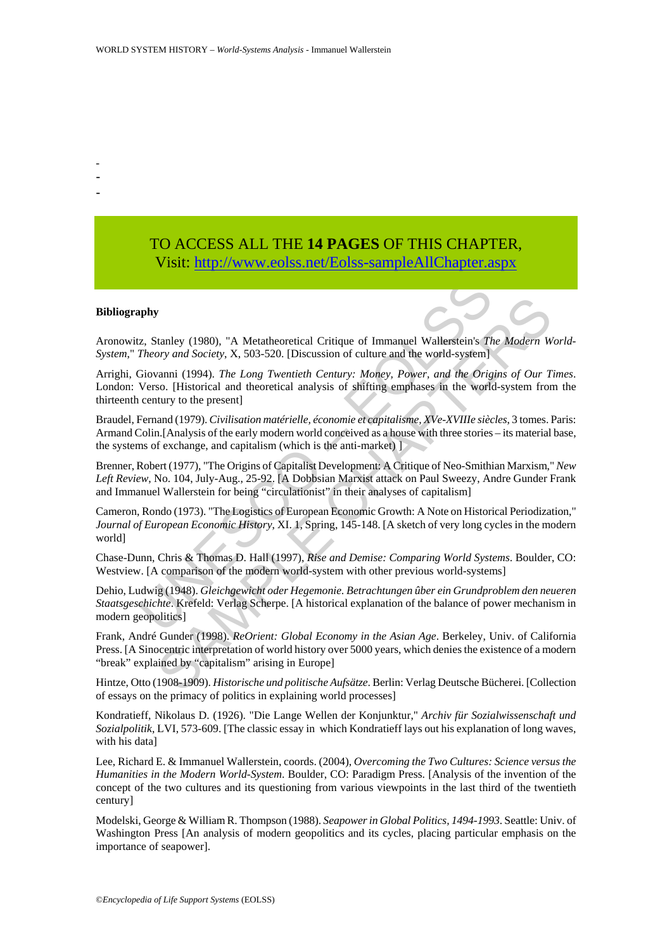- -
- -
- TO ACCESS ALL THE **14 PAGES** OF THIS CHAPTER, Visit[: http://www.eolss.net/Eolss-sampleAllChapter.aspx](https://www.eolss.net/ebooklib/sc_cart.aspx?File=E6-94-01)

#### **Bibliography**

Aronowitz, Stanley (1980), "A Metatheoretical Critique of Immanuel Wallerstein's *The Modern World-System*," *Theory and Society*, X, 503-520. [Discussion of culture and the world-system]

Arrighi, Giovanni (1994). *The Long Twentieth Century: Money, Power, and the Origins of Our Times*. London: Verso. [Historical and theoretical analysis of shifting emphases in the world-system from the thirteenth century to the present]

Braudel, Fernand (1979). *Civilisation matérielle, économie et capitalisme, XVe-XVIIIe siècles*, 3 tomes. Paris: Armand Colin.[Analysis of the early modern world conceived as a house with three stories – its material base, the systems of exchange, and capitalism (which is the anti-market) ]

Brenner, Robert (1977), "The Origins of Capitalist Development: A Critique of Neo-Smithian Marxism," *New Left Review*, No. 104, July-Aug., 25-92. [A Dobbsian Marxist attack on Paul Sweezy, Andre Gunder Frank and Immanuel Wallerstein for being "circulationist" in their analyses of capitalism]

**EXECTS ANTIFY THEOTES CONSTRANT (SET ALT ALT ALT AND THEORY CONDUCTS:**<br>
Theory and Society, X, 503-520. [Discussion of culture and the world-system] Giovanni (1994). The Long Twentieth Century: Money, Power, and the Orig<br> Stanley (1980), "A Metatheoretical Critique of Immanuel Wallerstein's The Modern W<br>stanley (1980), "A Metatheoretical Critique of Immanuel Wallerstein's The Modern W<br>ory and Society, X, 503-520. [Discussion of culture and Cameron, Rondo (1973). "The Logistics of European Economic Growth: A Note on Historical Periodization," *Journal of European Economic History*, XI. 1, Spring, 145-148. [A sketch of very long cycles in the modern world]

Chase-Dunn, Chris & Thomas D. Hall (1997), *Rise and Demise: Comparing World Systems*. Boulder, CO: Westview. [A comparison of the modern world-system with other previous world-systems]

Dehio, Ludwig (1948). *Gleichgewicht oder Hegemonie. Betrachtungen ûber ein Grundproblem den neueren Staatsgeschichte*. Krefeld: Verlag Scherpe. [A historical explanation of the balance of power mechanism in modern geopolitics]

Frank, André Gunder (1998). *ReOrient: Global Economy in the Asian Age*. Berkeley, Univ. of California Press. [A Sinocentric interpretation of world history over 5000 years, which denies the existence of a modern "break" explained by "capitalism" arising in Europe]

Hintze, Otto (1908-1909). *Historische und politische Aufsätze*. Berlin: Verlag Deutsche Bücherei. [Collection of essays on the primacy of politics in explaining world processes]

Kondratieff, Nikolaus D. (1926). "Die Lange Wellen der Konjunktur," *Archiv für Sozialwissenschaft und Sozialpolitik*, LVI, 573-609. [The classic essay in which Kondratieff lays out his explanation of long waves, with his data]

Lee, Richard E. & Immanuel Wallerstein, coords. (2004), *Overcoming the Two Cultures: Science versus the Humanities in the Modern World-System*. Boulder, CO: Paradigm Press. [Analysis of the invention of the concept of the two cultures and its questioning from various viewpoints in the last third of the twentieth century]

Modelski, George & William R. Thompson (1988). *Seapower in Global Politics, 1494-1993*. Seattle: Univ. of Washington Press [An analysis of modern geopolitics and its cycles, placing particular emphasis on the importance of seapower].